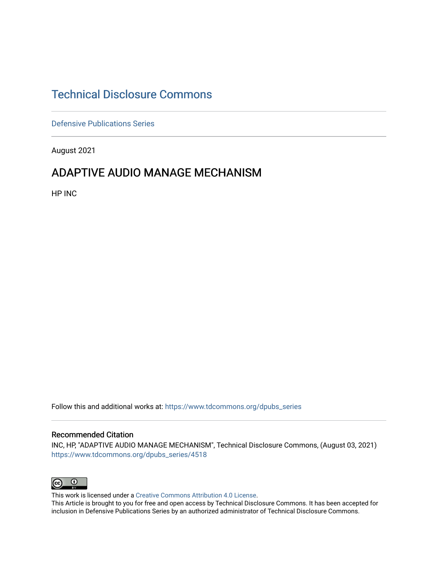# [Technical Disclosure Commons](https://www.tdcommons.org/)

[Defensive Publications Series](https://www.tdcommons.org/dpubs_series)

August 2021

## ADAPTIVE AUDIO MANAGE MECHANISM

HP INC

Follow this and additional works at: [https://www.tdcommons.org/dpubs\\_series](https://www.tdcommons.org/dpubs_series?utm_source=www.tdcommons.org%2Fdpubs_series%2F4518&utm_medium=PDF&utm_campaign=PDFCoverPages) 

#### Recommended Citation

INC, HP, "ADAPTIVE AUDIO MANAGE MECHANISM", Technical Disclosure Commons, (August 03, 2021) [https://www.tdcommons.org/dpubs\\_series/4518](https://www.tdcommons.org/dpubs_series/4518?utm_source=www.tdcommons.org%2Fdpubs_series%2F4518&utm_medium=PDF&utm_campaign=PDFCoverPages)



This work is licensed under a [Creative Commons Attribution 4.0 License](http://creativecommons.org/licenses/by/4.0/deed.en_US).

This Article is brought to you for free and open access by Technical Disclosure Commons. It has been accepted for inclusion in Defensive Publications Series by an authorized administrator of Technical Disclosure Commons.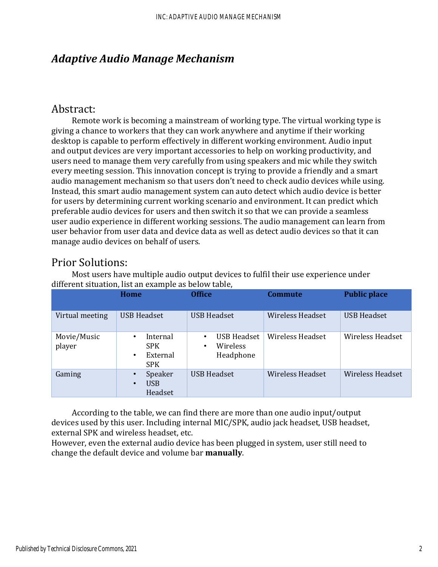## *Adaptive Audio Manage Mechanism*

### Abstract:

Remote work is becoming a mainstream of working type. The virtual working type is giving a chance to workers that they can work anywhere and anytime if their working desktop is capable to perform effectively in different working environment. Audio input and output devices are very important accessories to help on working productivity, and users need to manage them very carefully from using speakers and mic while they switch every meeting session. This innovation concept is trying to provide a friendly and a smart audio management mechanism so that users don't need to check audio devices while using. Instead, this smart audio management system can auto detect which audio device is better for users by determining current working scenario and environment. It can predict which preferable audio devices for users and then switch it so that we can provide a seamless user audio experience in different working sessions. The audio management can learn from user behavior from user data and device data as well as detect audio devices so that it can manage audio devices on behalf of users.

### Prior Solutions:

|                       | Home                                                               | <b>Office</b>                                                 | <b>Commute</b>          | <b>Public place</b>     |
|-----------------------|--------------------------------------------------------------------|---------------------------------------------------------------|-------------------------|-------------------------|
| Virtual meeting       | <b>USB Headset</b>                                                 | <b>USB Headset</b>                                            | <b>Wireless Headset</b> | <b>USB Headset</b>      |
| Movie/Music<br>player | Internal<br>٠<br><b>SPK</b><br>External<br>$\bullet$<br><b>SPK</b> | <b>USB Headset</b><br>$\bullet$<br>Wireless<br>٠<br>Headphone | <b>Wireless Headset</b> | <b>Wireless Headset</b> |
| Gaming                | Speaker<br><b>USB</b><br>$\bullet$<br>Headset                      | <b>USB Headset</b>                                            | <b>Wireless Headset</b> | Wireless Headset        |

Most users have multiple audio output devices to fulfil their use experience under different situation, list an example as below table,

According to the table, we can find there are more than one audio input/output devices used by this user. Including internal MIC/SPK, audio jack headset, USB headset, external SPK and wireless headset, etc.

However, even the external audio device has been plugged in system, user still need to change the default device and volume bar **manually**.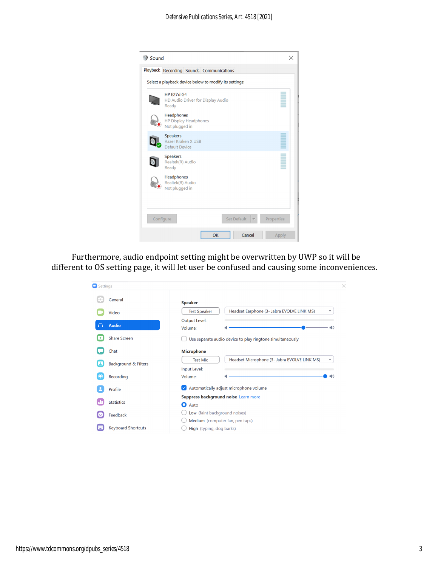

Furthermore, audio endpoint setting might be overwritten by UWP so it will be different to OS setting page, it will let user be confused and causing some inconveniences.

| Settings |                                 |                                                                                                | $\times$ |  |
|----------|---------------------------------|------------------------------------------------------------------------------------------------|----------|--|
|          | General                         | <b>Speaker</b>                                                                                 |          |  |
|          | Video                           | Headset Earphone (3- Jabra EVOLVE LINK MS)<br><b>Test Speaker</b><br>$\check{~}$               |          |  |
|          | <b>Audio</b>                    | <b>Output Level:</b><br>$\Box$ )<br>Volume:                                                    |          |  |
|          | <b>Share Screen</b>             | Use separate audio device to play ringtone simultaneously                                      |          |  |
|          | Chat                            | <b>Microphone</b>                                                                              |          |  |
|          | <b>Background &amp; Filters</b> | Headset Microphone (3- Jabra EVOLVE LINK MS)<br><b>Test Mic</b><br>$\check{~}$<br>Input Level: |          |  |
|          | Recording                       | Volume:<br>$\blacksquare$                                                                      |          |  |
|          | Profile                         | Automatically adjust microphone volume<br>$\sim$                                               |          |  |
|          | <b>Statistics</b>               | Suppress background noise Learn more<br>О<br>Auto                                              |          |  |
|          | Feedback                        | Low (faint background noises)                                                                  |          |  |
|          | <b>Keyboard Shortcuts</b>       | Medium (computer fan, pen taps)<br>High (typing, dog barks)                                    |          |  |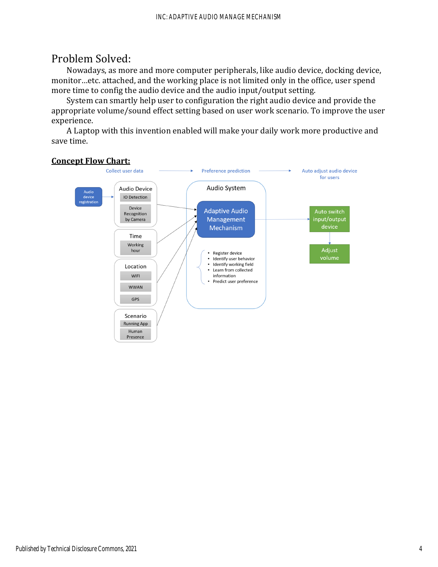## Problem Solved:

Nowadays, as more and more computer peripherals, like audio device, docking device, monitor…etc. attached, and the working place is not limited only in the office, user spend more time to config the audio device and the audio input/output setting.

System can smartly help user to configuration the right audio device and provide the appropriate volume/sound effect setting based on user work scenario. To improve the user experience.

A Laptop with this invention enabled will make your daily work more productive and save time.

#### **Concept Flow Chart:**

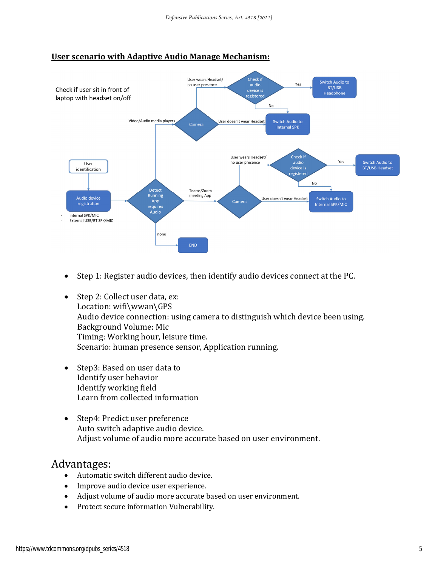#### **User scenario with Adaptive Audio Manage Mechanism:**



- Step 1: Register audio devices, then identify audio devices connect at the PC.
- Step 2: Collect user data, ex: Location: wifi\wwan\GPS Audio device connection: using camera to distinguish which device been using. Background Volume: Mic Timing: Working hour, leisure time. Scenario: human presence sensor, Application running.
- Step3: Based on user data to Identify user behavior Identify working field Learn from collected information
- Step4: Predict user preference Auto switch adaptive audio device. Adjust volume of audio more accurate based on user environment.

### Advantages:

- Automatic switch different audio device.
- Improve audio device user experience.
- Adjust volume of audio more accurate based on user environment.
- Protect secure information Vulnerability.